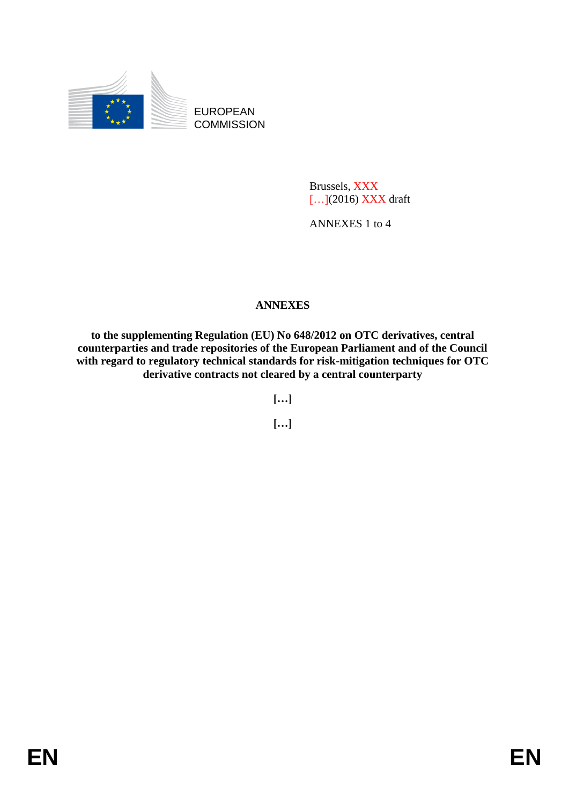

EUROPEAN **COMMISSION** 

> Brussels, XXX [...](2016) XXX draft

ANNEXES 1 to 4

## **ANNEXES**

**to the supplementing Regulation (EU) No 648/2012 on OTC derivatives, central counterparties and trade repositories of the European Parliament and of the Council with regard to regulatory technical standards for risk-mitigation techniques for OTC derivative contracts not cleared by a central counterparty**

**[…]**

**[…]**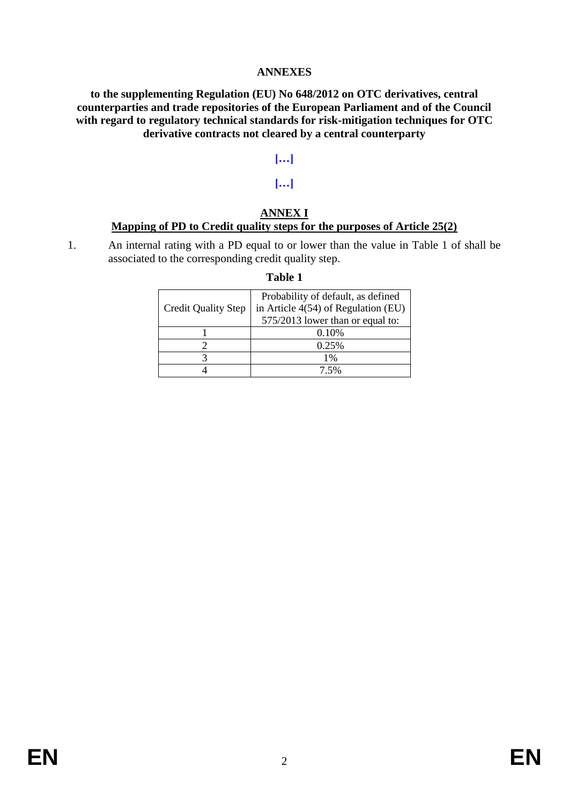## **ANNEXES**

#### **to the supplementing Regulation (EU) No 648/2012 on OTC derivatives, central counterparties and trade repositories of the European Parliament and of the Council with regard to regulatory technical standards for risk-mitigation techniques for OTC derivative contracts not cleared by a central counterparty**

## **[…]**

## **[…]**

#### **ANNEX I Mapping of PD to Credit quality steps for the purposes of Article 25(2)**

1. An internal rating with a PD equal to or lower than the value in Table 1 of shall be associated to the corresponding credit quality step.

## **Table 1**

|                            | Probability of default, as defined  |  |
|----------------------------|-------------------------------------|--|
| <b>Credit Quality Step</b> | in Article 4(54) of Regulation (EU) |  |
|                            | 575/2013 lower than or equal to:    |  |
|                            | 0.10%                               |  |
|                            | 0.25%                               |  |
|                            | $1\%$                               |  |
|                            | 7.5%                                |  |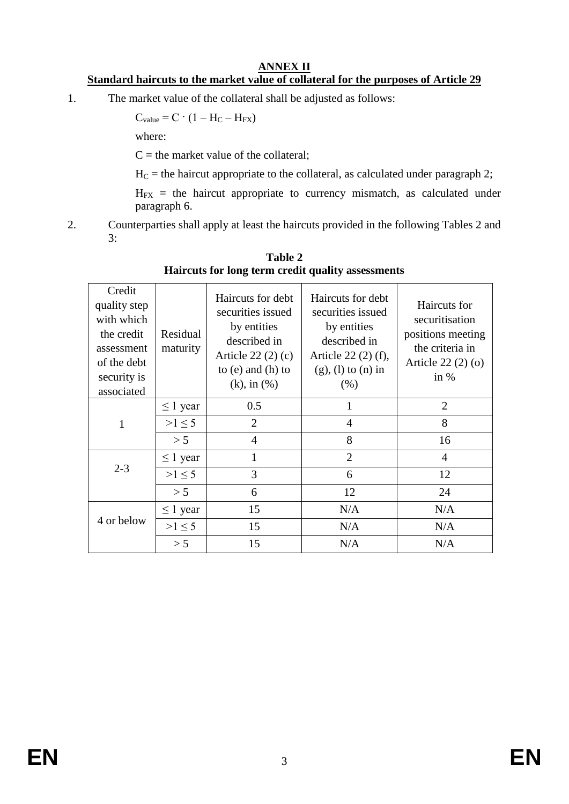## **ANNEX II**

# **Standard haircuts to the market value of collateral for the purposes of Article 29**

1. The market value of the collateral shall be adjusted as follows:

$$
C_{value} = C \cdot (1 - H_C - H_{FX})
$$

where:

 $C =$  the market value of the collateral;

 $H_C$  = the haircut appropriate to the collateral, as calculated under paragraph 2;

 $H_{FX}$  = the haircut appropriate to currency mismatch, as calculated under paragraph 6.

2. Counterparties shall apply at least the haircuts provided in the following Tables 2 and 3:

| Credit<br>quality step<br>with which<br>the credit<br>assessment<br>of the debt<br>security is<br>associated | Residual<br>maturity | Haircuts for debt<br>securities issued<br>by entities<br>described in<br>Article $22(2)(c)$<br>to $(e)$ and $(h)$ to<br>$(k)$ , in $(\%)$ | Haircuts for debt<br>securities issued<br>by entities<br>described in<br>Article 22 (2) (f),<br>$(g)$ , (l) to (n) in<br>(% ) | Haircuts for<br>securitisation<br>positions meeting<br>the criteria in<br>Article $22(2)(0)$<br>in $%$ |
|--------------------------------------------------------------------------------------------------------------|----------------------|-------------------------------------------------------------------------------------------------------------------------------------------|-------------------------------------------------------------------------------------------------------------------------------|--------------------------------------------------------------------------------------------------------|
|                                                                                                              | $\leq 1$ year        | 0.5                                                                                                                                       | 1                                                                                                                             | $\overline{2}$                                                                                         |
| $\mathbf{1}$                                                                                                 | $>1 \leq 5$          | 2                                                                                                                                         | $\overline{4}$                                                                                                                | 8                                                                                                      |
|                                                                                                              | > 5                  | $\overline{4}$                                                                                                                            | 8                                                                                                                             | 16                                                                                                     |
| $2 - 3$                                                                                                      | $\leq 1$ year        | 1                                                                                                                                         | $\overline{2}$                                                                                                                | 4                                                                                                      |
|                                                                                                              | >1 < 5               | 3                                                                                                                                         | 6                                                                                                                             | 12                                                                                                     |
|                                                                                                              | > 5                  | 6                                                                                                                                         | 12                                                                                                                            | 24                                                                                                     |
| 4 or below                                                                                                   | $\leq 1$ year        | 15                                                                                                                                        | N/A                                                                                                                           | N/A                                                                                                    |
|                                                                                                              | $>1 \leq 5$          | 15                                                                                                                                        | N/A                                                                                                                           | N/A                                                                                                    |
|                                                                                                              | > 5                  | 15                                                                                                                                        | N/A                                                                                                                           | N/A                                                                                                    |
|                                                                                                              |                      |                                                                                                                                           |                                                                                                                               |                                                                                                        |

**Table 2 Haircuts for long term credit quality assessments**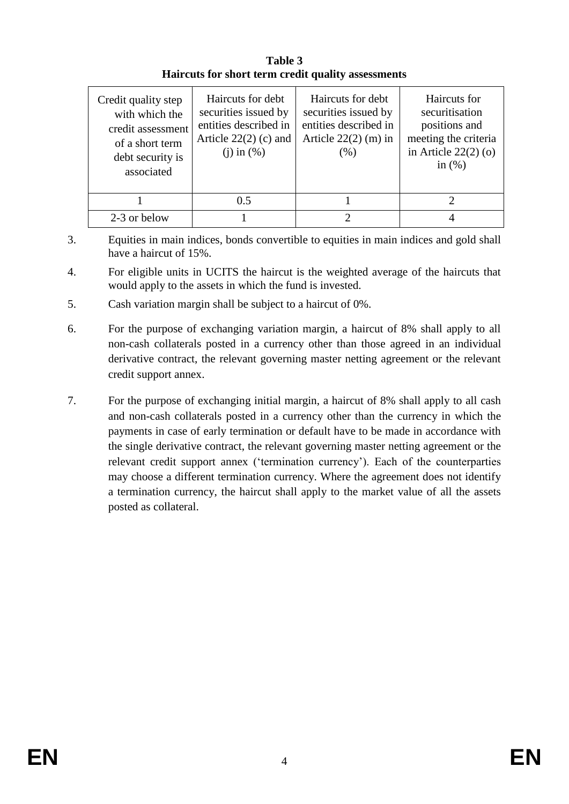| Table 3                                            |
|----------------------------------------------------|
| Haircuts for short term credit quality assessments |

| Credit quality step<br>with which the<br>credit assessment<br>of a short term<br>debt security is<br>associated | Haircuts for debt<br>securities issued by<br>entities described in<br>Article $22(2)$ (c) and<br>$(i)$ in $(\%)$ | Haircuts for debt<br>securities issued by<br>entities described in<br>Article $22(2)$ (m) in<br>(% ) | Haircuts for<br>securitisation<br>positions and<br>meeting the criteria<br>in Article $22(2)(o)$<br>in $(\%)$ |
|-----------------------------------------------------------------------------------------------------------------|------------------------------------------------------------------------------------------------------------------|------------------------------------------------------------------------------------------------------|---------------------------------------------------------------------------------------------------------------|
|                                                                                                                 | 0.5                                                                                                              |                                                                                                      |                                                                                                               |
| 2-3 or below                                                                                                    |                                                                                                                  |                                                                                                      |                                                                                                               |

- 3. Equities in main indices, bonds convertible to equities in main indices and gold shall have a haircut of 15%.
- 4. For eligible units in UCITS the haircut is the weighted average of the haircuts that would apply to the assets in which the fund is invested.
- 5. Cash variation margin shall be subject to a haircut of 0%.
- 6. For the purpose of exchanging variation margin, a haircut of 8% shall apply to all non-cash collaterals posted in a currency other than those agreed in an individual derivative contract, the relevant governing master netting agreement or the relevant credit support annex.
- 7. For the purpose of exchanging initial margin, a haircut of 8% shall apply to all cash and non-cash collaterals posted in a currency other than the currency in which the payments in case of early termination or default have to be made in accordance with the single derivative contract, the relevant governing master netting agreement or the relevant credit support annex ('termination currency'). Each of the counterparties may choose a different termination currency. Where the agreement does not identify a termination currency, the haircut shall apply to the market value of all the assets posted as collateral.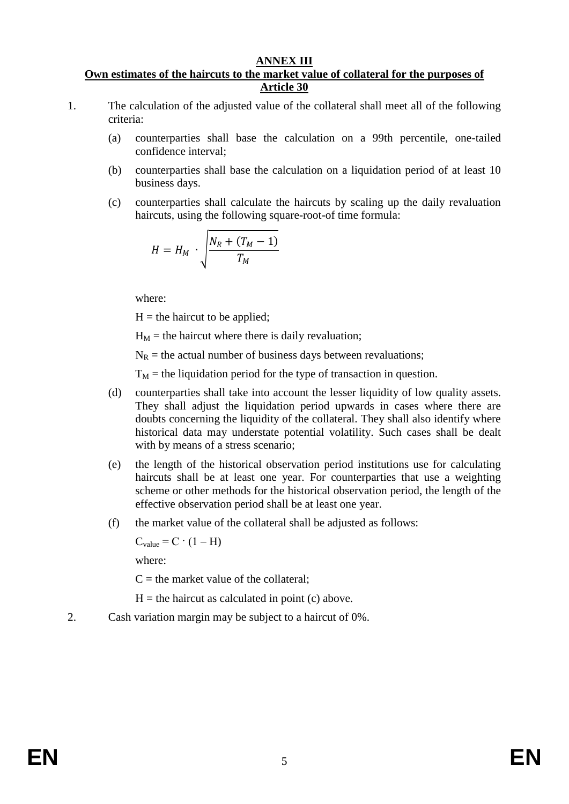#### **ANNEX III**

#### **Own estimates of the haircuts to the market value of collateral for the purposes of Article 30**

- 1. The calculation of the adjusted value of the collateral shall meet all of the following criteria:
	- (a) counterparties shall base the calculation on a 99th percentile, one-tailed confidence interval;
	- (b) counterparties shall base the calculation on a liquidation period of at least 10 business days.
	- (c) counterparties shall calculate the haircuts by scaling up the daily revaluation haircuts, using the following square-root-of time formula:

$$
H = H_M \cdot \sqrt{\frac{N_R + (T_M - 1)}{T_M}}
$$

where:

 $H =$  the haircut to be applied;

 $H_M$  = the haircut where there is daily revaluation;

 $N_R$  = the actual number of business days between revaluations;

 $T_M$  = the liquidation period for the type of transaction in question.

- (d) counterparties shall take into account the lesser liquidity of low quality assets. They shall adjust the liquidation period upwards in cases where there are doubts concerning the liquidity of the collateral. They shall also identify where historical data may understate potential volatility. Such cases shall be dealt with by means of a stress scenario;
- (e) the length of the historical observation period institutions use for calculating haircuts shall be at least one year. For counterparties that use a weighting scheme or other methods for the historical observation period, the length of the effective observation period shall be at least one year.
- (f) the market value of the collateral shall be adjusted as follows:

 $C_{value} = C \cdot (1 - H)$ 

where:

 $C =$  the market value of the collateral:

 $H =$  the haircut as calculated in point (c) above.

2. Cash variation margin may be subject to a haircut of 0%.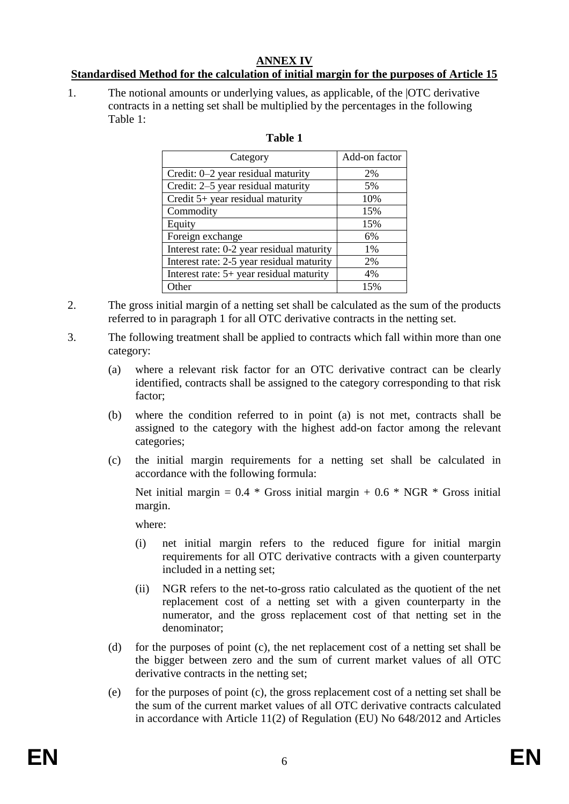## **ANNEX IV**

## **Standardised Method for the calculation of initial margin for the purposes of Article 15**

1. The notional amounts or underlying values, as applicable, of the |OTC derivative contracts in a netting set shall be multiplied by the percentages in the following Table 1:

| Category                                  | Add-on factor |
|-------------------------------------------|---------------|
| Credit: 0–2 year residual maturity        | 2%            |
| Credit: 2–5 year residual maturity        | 5%            |
| Credit 5+ year residual maturity          | 10%           |
| Commodity                                 | 15%           |
| Equity                                    | 15%           |
| Foreign exchange                          | 6%            |
| Interest rate: 0-2 year residual maturity | 1%            |
| Interest rate: 2-5 year residual maturity | 2%            |
| Interest rate: 5+ year residual maturity  | 4%            |
| Other                                     | 15%           |

## **Table 1**

- 2. The gross initial margin of a netting set shall be calculated as the sum of the products referred to in paragraph 1 for all OTC derivative contracts in the netting set.
- 3. The following treatment shall be applied to contracts which fall within more than one category:
	- (a) where a relevant risk factor for an OTC derivative contract can be clearly identified, contracts shall be assigned to the category corresponding to that risk factor;
	- (b) where the condition referred to in point (a) is not met, contracts shall be assigned to the category with the highest add-on factor among the relevant categories;
	- (c) the initial margin requirements for a netting set shall be calculated in accordance with the following formula:

Net initial margin =  $0.4 *$  Gross initial margin +  $0.6 *$  NGR  $*$  Gross initial margin.

where:

- (i) net initial margin refers to the reduced figure for initial margin requirements for all OTC derivative contracts with a given counterparty included in a netting set;
- (ii) NGR refers to the net-to-gross ratio calculated as the quotient of the net replacement cost of a netting set with a given counterparty in the numerator, and the gross replacement cost of that netting set in the denominator;
- (d) for the purposes of point (c), the net replacement cost of a netting set shall be the bigger between zero and the sum of current market values of all OTC derivative contracts in the netting set;
- (e) for the purposes of point (c), the gross replacement cost of a netting set shall be the sum of the current market values of all OTC derivative contracts calculated in accordance with Article 11(2) of Regulation (EU) No 648/2012 and Articles